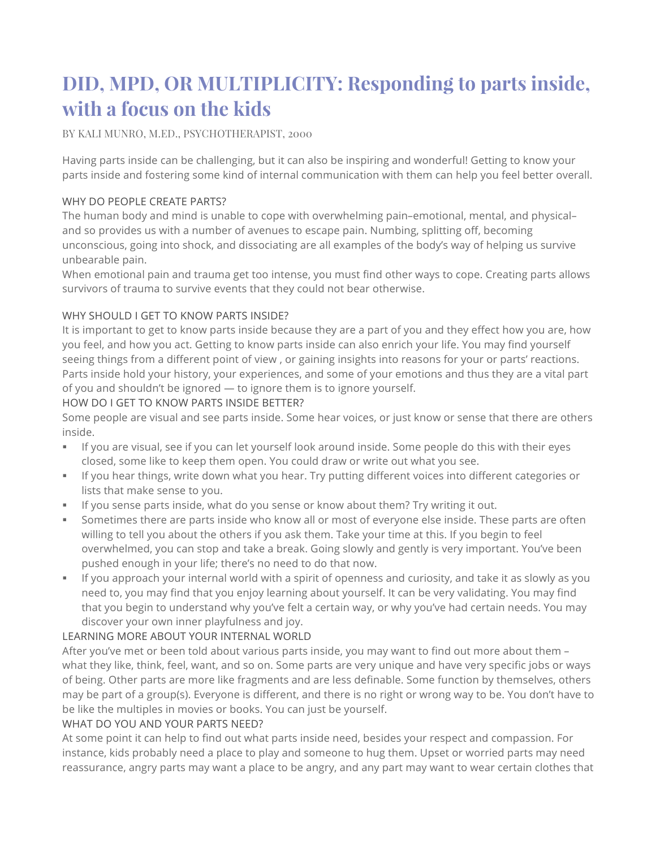# **DID, MPD, OR MULTIPLICITY: Responding to parts inside, with a focus on the kids**

BY KALI MUNRO, M.ED., PSYCHOTHERAPIST, 2000

Having parts inside can be challenging, but it can also be inspiring and wonderful! Getting to know your parts inside and fostering some kind of internal communication with them can help you feel better overall.

# WHY DO PEOPLE CREATE PARTS?

The human body and mind is unable to cope with overwhelming pain–emotional, mental, and physical– and so provides us with a number of avenues to escape pain. Numbing, splitting off, becoming unconscious, going into shock, and dissociating are all examples of the body's way of helping us survive unbearable pain.

When emotional pain and trauma get too intense, you must find other ways to cope. Creating parts allows survivors of trauma to survive events that they could not bear otherwise.

# WHY SHOULD I GET TO KNOW PARTS INSIDE?

It is important to get to know parts inside because they are a part of you and they effect how you are, how you feel, and how you act. Getting to know parts inside can also enrich your life. You may find yourself seeing things from a different point of view , or gaining insights into reasons for your or parts' reactions. Parts inside hold your history, your experiences, and some of your emotions and thus they are a vital part of you and shouldn't be ignored — to ignore them is to ignore yourself.

## HOW DO I GET TO KNOW PARTS INSIDE BETTER?

Some people are visual and see parts inside. Some hear voices, or just know or sense that there are others inside.

- If you are visual, see if you can let yourself look around inside. Some people do this with their eyes closed, some like to keep them open. You could draw or write out what you see.
- § If you hear things, write down what you hear. Try putting different voices into different categories or lists that make sense to you.
- § If you sense parts inside, what do you sense or know about them? Try writing it out.
- § Sometimes there are parts inside who know all or most of everyone else inside. These parts are often willing to tell you about the others if you ask them. Take your time at this. If you begin to feel overwhelmed, you can stop and take a break. Going slowly and gently is very important. You've been pushed enough in your life; there's no need to do that now.
- § If you approach your internal world with a spirit of openness and curiosity, and take it as slowly as you need to, you may find that you enjoy learning about yourself. It can be very validating. You may find that you begin to understand why you've felt a certain way, or why you've had certain needs. You may discover your own inner playfulness and joy.

# LEARNING MORE ABOUT YOUR INTERNAL WORLD

After you've met or been told about various parts inside, you may want to find out more about them – what they like, think, feel, want, and so on. Some parts are very unique and have very specific jobs or ways of being. Other parts are more like fragments and are less definable. Some function by themselves, others may be part of a group(s). Everyone is different, and there is no right or wrong way to be. You don't have to be like the multiples in movies or books. You can just be yourself.

## WHAT DO YOU AND YOUR PARTS NEED?

At some point it can help to find out what parts inside need, besides your respect and compassion. For instance, kids probably need a place to play and someone to hug them. Upset or worried parts may need reassurance, angry parts may want a place to be angry, and any part may want to wear certain clothes that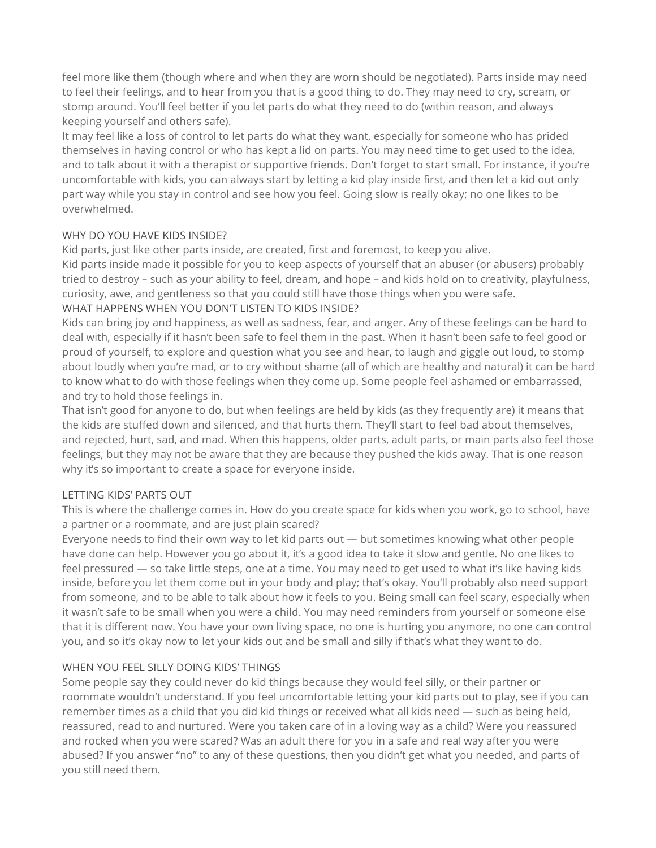feel more like them (though where and when they are worn should be negotiated). Parts inside may need to feel their feelings, and to hear from you that is a good thing to do. They may need to cry, scream, or stomp around. You'll feel better if you let parts do what they need to do (within reason, and always keeping yourself and others safe).

It may feel like a loss of control to let parts do what they want, especially for someone who has prided themselves in having control or who has kept a lid on parts. You may need time to get used to the idea, and to talk about it with a therapist or supportive friends. Don't forget to start small. For instance, if you're uncomfortable with kids, you can always start by letting a kid play inside first, and then let a kid out only part way while you stay in control and see how you feel. Going slow is really okay; no one likes to be overwhelmed.

# WHY DO YOU HAVE KIDS INSIDE?

Kid parts, just like other parts inside, are created, first and foremost, to keep you alive.

Kid parts inside made it possible for you to keep aspects of yourself that an abuser (or abusers) probably tried to destroy – such as your ability to feel, dream, and hope – and kids hold on to creativity, playfulness, curiosity, awe, and gentleness so that you could still have those things when you were safe.

# WHAT HAPPENS WHEN YOU DON'T LISTEN TO KIDS INSIDE?

Kids can bring joy and happiness, as well as sadness, fear, and anger. Any of these feelings can be hard to deal with, especially if it hasn't been safe to feel them in the past. When it hasn't been safe to feel good or proud of yourself, to explore and question what you see and hear, to laugh and giggle out loud, to stomp about loudly when you're mad, or to cry without shame (all of which are healthy and natural) it can be hard to know what to do with those feelings when they come up. Some people feel ashamed or embarrassed, and try to hold those feelings in.

That isn't good for anyone to do, but when feelings are held by kids (as they frequently are) it means that the kids are stuffed down and silenced, and that hurts them. They'll start to feel bad about themselves, and rejected, hurt, sad, and mad. When this happens, older parts, adult parts, or main parts also feel those feelings, but they may not be aware that they are because they pushed the kids away. That is one reason why it's so important to create a space for everyone inside.

# LETTING KIDS' PARTS OUT

This is where the challenge comes in. How do you create space for kids when you work, go to school, have a partner or a roommate, and are just plain scared?

Everyone needs to find their own way to let kid parts out  $-$  but sometimes knowing what other people have done can help. However you go about it, it's a good idea to take it slow and gentle. No one likes to feel pressured — so take little steps, one at a time. You may need to get used to what it's like having kids inside, before you let them come out in your body and play; that's okay. You'll probably also need support from someone, and to be able to talk about how it feels to you. Being small can feel scary, especially when it wasn't safe to be small when you were a child. You may need reminders from yourself or someone else that it is different now. You have your own living space, no one is hurting you anymore, no one can control you, and so it's okay now to let your kids out and be small and silly if that's what they want to do.

# WHEN YOU FEEL SILLY DOING KIDS' THINGS

Some people say they could never do kid things because they would feel silly, or their partner or roommate wouldn't understand. If you feel uncomfortable letting your kid parts out to play, see if you can remember times as a child that you did kid things or received what all kids need — such as being held, reassured, read to and nurtured. Were you taken care of in a loving way as a child? Were you reassured and rocked when you were scared? Was an adult there for you in a safe and real way after you were abused? If you answer "no" to any of these questions, then you didn't get what you needed, and parts of you still need them.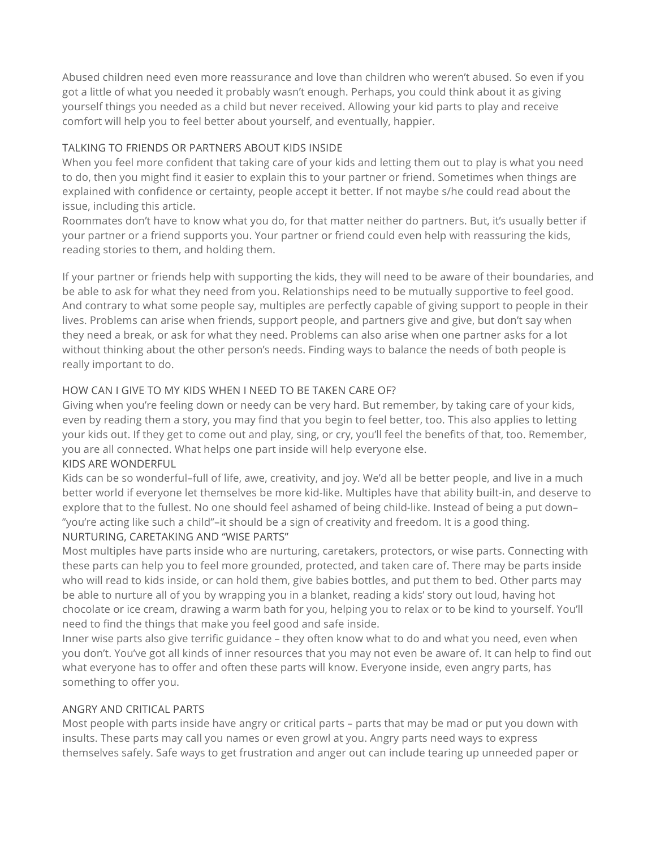Abused children need even more reassurance and love than children who weren't abused. So even if you got a little of what you needed it probably wasn't enough. Perhaps, you could think about it as giving yourself things you needed as a child but never received. Allowing your kid parts to play and receive comfort will help you to feel better about yourself, and eventually, happier.

# TALKING TO FRIENDS OR PARTNERS ABOUT KIDS INSIDE

When you feel more confident that taking care of your kids and letting them out to play is what you need to do, then you might find it easier to explain this to your partner or friend. Sometimes when things are explained with confidence or certainty, people accept it better. If not maybe s/he could read about the issue, including this article.

Roommates don't have to know what you do, for that matter neither do partners. But, it's usually better if your partner or a friend supports you. Your partner or friend could even help with reassuring the kids, reading stories to them, and holding them.

If your partner or friends help with supporting the kids, they will need to be aware of their boundaries, and be able to ask for what they need from you. Relationships need to be mutually supportive to feel good. And contrary to what some people say, multiples are perfectly capable of giving support to people in their lives. Problems can arise when friends, support people, and partners give and give, but don't say when they need a break, or ask for what they need. Problems can also arise when one partner asks for a lot without thinking about the other person's needs. Finding ways to balance the needs of both people is really important to do.

# HOW CAN I GIVE TO MY KIDS WHEN I NEED TO BE TAKEN CARE OF?

Giving when you're feeling down or needy can be very hard. But remember, by taking care of your kids, even by reading them a story, you may find that you begin to feel better, too. This also applies to letting your kids out. If they get to come out and play, sing, or cry, you'll feel the benefits of that, too. Remember, you are all connected. What helps one part inside will help everyone else. KIDS ARE WONDERFUL

Kids can be so wonderful–full of life, awe, creativity, and joy. We'd all be better people, and live in a much better world if everyone let themselves be more kid-like. Multiples have that ability built-in, and deserve to explore that to the fullest. No one should feel ashamed of being child-like. Instead of being a put down– "you're acting like such a child"–it should be a sign of creativity and freedom. It is a good thing. NURTURING, CARETAKING AND "WISE PARTS"

# Most multiples have parts inside who are nurturing, caretakers, protectors, or wise parts. Connecting with these parts can help you to feel more grounded, protected, and taken care of. There may be parts inside who will read to kids inside, or can hold them, give babies bottles, and put them to bed. Other parts may be able to nurture all of you by wrapping you in a blanket, reading a kids' story out loud, having hot chocolate or ice cream, drawing a warm bath for you, helping you to relax or to be kind to yourself. You'll need to find the things that make you feel good and safe inside.

Inner wise parts also give terrific guidance – they often know what to do and what you need, even when you don't. You've got all kinds of inner resources that you may not even be aware of. It can help to find out what everyone has to offer and often these parts will know. Everyone inside, even angry parts, has something to offer you.

## ANGRY AND CRITICAL PARTS

Most people with parts inside have angry or critical parts – parts that may be mad or put you down with insults. These parts may call you names or even growl at you. Angry parts need ways to express themselves safely. Safe ways to get frustration and anger out can include tearing up unneeded paper or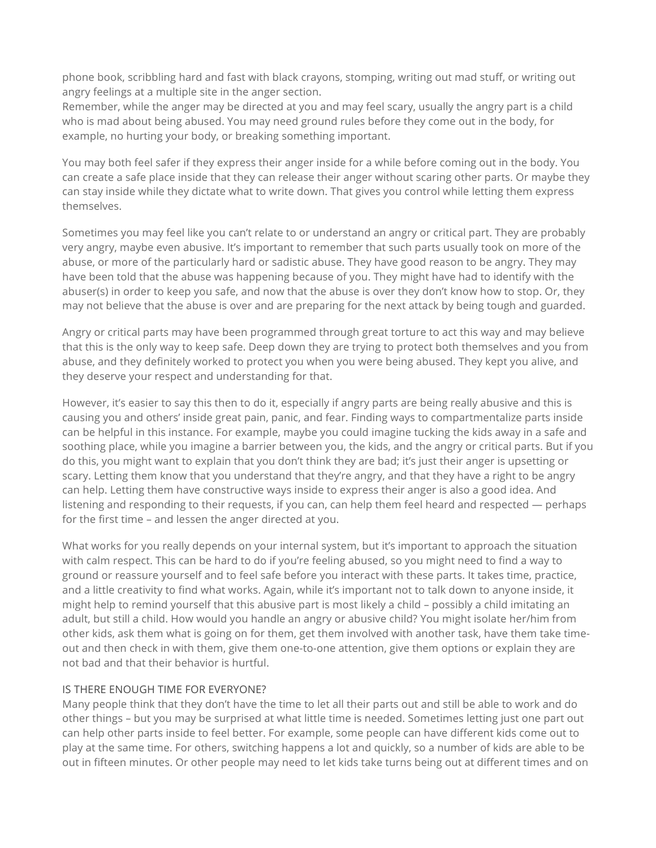phone book, scribbling hard and fast with black crayons, stomping, writing out mad stuff, or writing out angry feelings at a multiple site in the anger section.

Remember, while the anger may be directed at you and may feel scary, usually the angry part is a child who is mad about being abused. You may need ground rules before they come out in the body, for example, no hurting your body, or breaking something important.

You may both feel safer if they express their anger inside for a while before coming out in the body. You can create a safe place inside that they can release their anger without scaring other parts. Or maybe they can stay inside while they dictate what to write down. That gives you control while letting them express themselves.

Sometimes you may feel like you can't relate to or understand an angry or critical part. They are probably very angry, maybe even abusive. It's important to remember that such parts usually took on more of the abuse, or more of the particularly hard or sadistic abuse. They have good reason to be angry. They may have been told that the abuse was happening because of you. They might have had to identify with the abuser(s) in order to keep you safe, and now that the abuse is over they don't know how to stop. Or, they may not believe that the abuse is over and are preparing for the next attack by being tough and guarded.

Angry or critical parts may have been programmed through great torture to act this way and may believe that this is the only way to keep safe. Deep down they are trying to protect both themselves and you from abuse, and they definitely worked to protect you when you were being abused. They kept you alive, and they deserve your respect and understanding for that.

However, it's easier to say this then to do it, especially if angry parts are being really abusive and this is causing you and others' inside great pain, panic, and fear. Finding ways to compartmentalize parts inside can be helpful in this instance. For example, maybe you could imagine tucking the kids away in a safe and soothing place, while you imagine a barrier between you, the kids, and the angry or critical parts. But if you do this, you might want to explain that you don't think they are bad; it's just their anger is upsetting or scary. Letting them know that you understand that they're angry, and that they have a right to be angry can help. Letting them have constructive ways inside to express their anger is also a good idea. And listening and responding to their requests, if you can, can help them feel heard and respected — perhaps for the first time – and lessen the anger directed at you.

What works for you really depends on your internal system, but it's important to approach the situation with calm respect. This can be hard to do if you're feeling abused, so you might need to find a way to ground or reassure yourself and to feel safe before you interact with these parts. It takes time, practice, and a little creativity to find what works. Again, while it's important not to talk down to anyone inside, it might help to remind yourself that this abusive part is most likely a child – possibly a child imitating an adult, but still a child. How would you handle an angry or abusive child? You might isolate her/him from other kids, ask them what is going on for them, get them involved with another task, have them take timeout and then check in with them, give them one-to-one attention, give them options or explain they are not bad and that their behavior is hurtful.

## IS THERE ENOUGH TIME FOR EVERYONE?

Many people think that they don't have the time to let all their parts out and still be able to work and do other things – but you may be surprised at what little time is needed. Sometimes letting just one part out can help other parts inside to feel better. For example, some people can have different kids come out to play at the same time. For others, switching happens a lot and quickly, so a number of kids are able to be out in fifteen minutes. Or other people may need to let kids take turns being out at different times and on